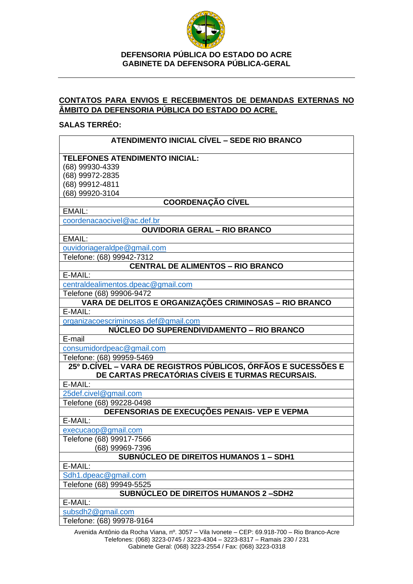

# **CONTATOS PARA ENVIOS E RECEBIMENTOS DE DEMANDAS EXTERNAS NO ÂMBITO DA DEFENSORIA PÚBLICA DO ESTADO DO ACRE.**

### **SALAS TERRÉO:**

| ATENDIMENTO INICIAL CÍVEL - SEDE RIO BRANCO                                                                        |
|--------------------------------------------------------------------------------------------------------------------|
| <b>TELEFONES ATENDIMENTO INICIAL:</b>                                                                              |
| (68) 99930-4339                                                                                                    |
| (68) 99972-2835                                                                                                    |
| (68) 99912-4811                                                                                                    |
| (68) 99920-3104                                                                                                    |
| <b>COORDENAÇÃO CÍVEL</b>                                                                                           |
| EMAIL:                                                                                                             |
| coordenacaocivel@ac.def.br                                                                                         |
| <b>OUVIDORIA GERAL - RIO BRANCO</b>                                                                                |
| EMAIL:                                                                                                             |
| ouvidoriageraldpe@gmail.com                                                                                        |
| Telefone: (68) 99942-7312                                                                                          |
| <b>CENTRAL DE ALIMENTOS - RIO BRANCO</b>                                                                           |
| E-MAIL:                                                                                                            |
| centraldealimentos.dpeac@gmail.com                                                                                 |
| Telefone (68) 99906-9472                                                                                           |
| VARA DE DELITOS E ORGANIZAÇÕES CRIMINOSAS - RIO BRANCO                                                             |
| E-MAIL:                                                                                                            |
| organizacoescriminosas.def@gmail.com                                                                               |
| NÚCLEO DO SUPERENDIVIDAMENTO - RIO BRANCO                                                                          |
| E-mail                                                                                                             |
| consumidordpeac@gmail.com                                                                                          |
| Telefone: (68) 99959-5469                                                                                          |
| 25º D.CÍVEL – VARA DE REGISTROS PÚBLICOS, ÓRFÃOS E SUCESSÕES E<br>DE CARTAS PRECATÓRIAS CÍVEIS E TURMAS RECURSAIS. |
| E-MAIL:                                                                                                            |
| 25def.civel@gmail.com                                                                                              |
| Telefone (68) 99228-0498                                                                                           |
| DEFENSORIAS DE EXECUÇÕES PENAIS- VEP E VEPMA                                                                       |
| E-MAIL:                                                                                                            |
| execucaop@gmail.com                                                                                                |
| Telefone (68) 99917-7566                                                                                           |
| (68) 99969-7396                                                                                                    |
| <b>SUBNÚCLEO DE DIREITOS HUMANOS 1 - SDH1</b>                                                                      |
| E-MAIL:                                                                                                            |
| Sdh1.dpeac@gmail.com                                                                                               |
| Telefone (68) 99949-5525                                                                                           |
| <b>SUBNUCLEO DE DIREITOS HUMANOS 2-SDH2</b>                                                                        |
| E-MAIL:                                                                                                            |
| subsdh2@gmail.com                                                                                                  |
| Telefone: (68) 99978-9164                                                                                          |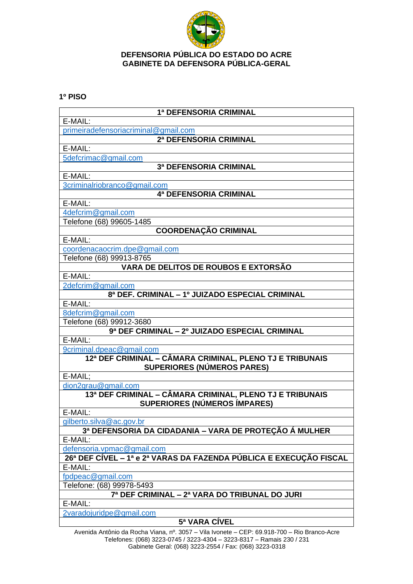

## **1º PISO**

| 1ª DEFENSORIA CRIMINAL                                             |
|--------------------------------------------------------------------|
| E-MAIL:                                                            |
| primeiradefensoriacriminal@gmail.com                               |
| 2ª DEFENSORIA CRIMINAL                                             |
| E-MAIL:                                                            |
| 5defcrimac@gmail.com                                               |
| 3ª DEFENSORIA CRIMINAL                                             |
| E-MAIL:                                                            |
| 3criminalriobranco@gmail.com                                       |
| 4ª DEFENSORIA CRIMINAL                                             |
| E-MAIL:                                                            |
| 4defcrim@gmail.com                                                 |
| Telefone (68) 99605-1485                                           |
| <b>COORDENAÇÃO CRIMINAL</b>                                        |
| E-MAIL:                                                            |
| coordenacaocrim.dpe@gmail.com                                      |
| Telefone (68) 99913-8765                                           |
| VARA DE DELITOS DE ROUBOS E EXTORSÃO                               |
| E-MAIL:                                                            |
| 2defcrim@gmail.com                                                 |
| 8ª DEF. CRIMINAL - 1º JUIZADO ESPECIAL CRIMINAL                    |
| E-MAIL:                                                            |
| 8defcrim@gmail.com                                                 |
| Telefone (68) 99912-3680                                           |
| 9ª DEF CRIMINAL - 2º JUIZADO ESPECIAL CRIMINAL                     |
| E-MAIL:                                                            |
| 9criminal.dpeac@gmail.com                                          |
| 12ª DEF CRIMINAL – CÂMARA CRIMINAL, PLENO TJ E TRIBUNAIS           |
| <b>SUPERIORES (NÚMEROS PARES)</b>                                  |
| E-MAIL:                                                            |
| dion2grau@gmail.com                                                |
| 13ª DEF CRIMINAL - CÂMARA CRIMINAL, PLENO TJ E TRIBUNAIS           |
| <b>SUPERIORES (NÚMEROS ÍMPARES)</b>                                |
| E-MAIL:                                                            |
| gilberto.silva@ac.gov.br                                           |
| 3ª DEFENSORIA DA CIDADANIA - VARA DE PROTEÇÃO Á MULHER             |
| E-MAIL:                                                            |
| defensoria.vpmac@gmail.com                                         |
| 26ª DEF CÍVEL – 1ª e 2ª VARAS DA FAZENDA PÚBLICA E EXECUÇÃO FISCAL |
| E-MAIL:                                                            |
| fpdpeac@gmail.com                                                  |
| Telefone: (68) 99978-5493                                          |
| 7ª DEF CRIMINAL - 2ª VARA DO TRIBUNAL DO JURI                      |
| E-MAIL:                                                            |
| 2varadojuridpe@gmail.com                                           |

**5ª VARA CÍVEL**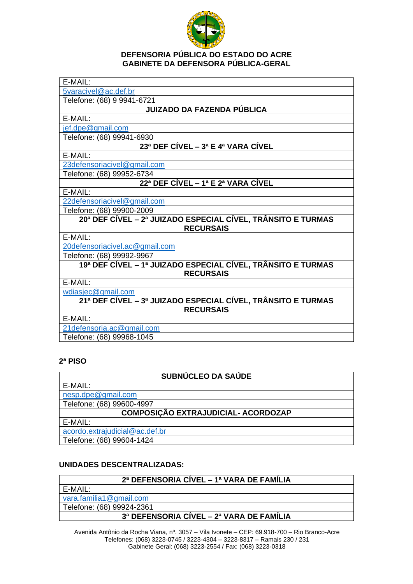

| E-MAIL:                                                                          |
|----------------------------------------------------------------------------------|
| 5varacivel@ac.def.br                                                             |
| Telefone: (68) 9 9941-6721                                                       |
| <b>JUIZADO DA FAZENDA PÚBLICA</b>                                                |
| E-MAIL:                                                                          |
| jef.dpe@gmail.com                                                                |
| Telefone: (68) 99941-6930                                                        |
| 23ª DEF CÍVEL - 3ª E 4ª VARA CÍVEL                                               |
| E-MAIL:                                                                          |
| 23defensoriacivel@gmail.com                                                      |
| Telefone: (68) 99952-6734                                                        |
| 22ª DEF CÍVEL – 1ª E 2ª VARA CÍVEL                                               |
| E-MAIL:                                                                          |
| 22defensoriacivel@gmail.com                                                      |
| Telefone: (68) 99900-2009                                                        |
| 20ª DEF CÍVEL – 2ª JUIZADO ESPECIAL CÍVEL, TRÂNSITO E TURMAS<br><b>RECURSAIS</b> |
| E-MAIL:                                                                          |
| 20defensoriacivel.ac@gmail.com                                                   |
| Telefone: (68) 99992-9967                                                        |
| 19ª DEF CÍVEL - 1ª JUIZADO ESPECIAL CÍVEL, TRÂNSITO E TURMAS<br><b>RECURSAIS</b> |
| E-MAIL:                                                                          |
| wdiasjec@gmail.com                                                               |
| 21ª DEF CÍVEL – 3ª JUIZADO ESPECIAL CÍVEL, TRÂNSITO E TURMAS<br><b>RECURSAIS</b> |
| E-MAIL:                                                                          |
| 21 defensoria.ac@gmail.com                                                       |
| Telefone: (68) 99968-1045                                                        |

# **2ª PISO**

| SUBNÚCLEO DA SAÚDE                  |
|-------------------------------------|
| E-MAIL:                             |
| nesp.dpe@gmail.com                  |
| Telefone: (68) 99600-4997           |
| COMPOSIÇÃO EXTRAJUDICIAL- ACORDOZAP |
| E-MAIL:                             |
| acordo.extrajudicial@ac.def.br      |
| Telefone: (68) 99604-1424           |

# **UNIDADES DESCENTRALIZADAS:**

## **2ª DEFENSORIA CÍVEL – 1ª VARA DE FAMÍLIA**

E-MAIL:

[vara.familia1@gmail.com](mailto:vara.familia1@gmail.com)

Telefone: (68) 99924-2361

# **3ª DEFENSORIA CÍVEL – 2ª VARA DE FAMÍLIA**

Avenida Antônio da Rocha Viana, nº. 3057 – Vila Ivonete – CEP: 69.918-700 – Rio Branco-Acre Telefones: (068) 3223-0745 / 3223-4304 – 3223-8317 – Ramais 230 / 231 Gabinete Geral: (068) 3223-2554 / Fax: (068) 3223-0318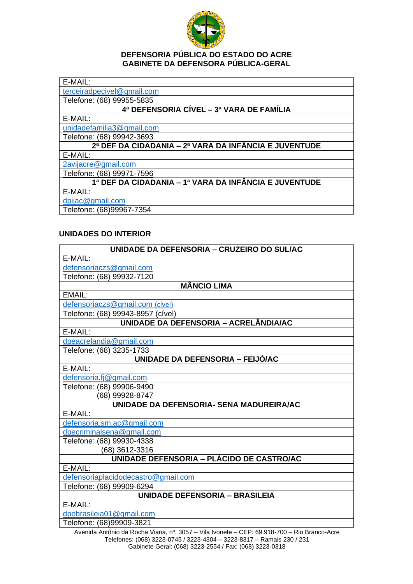

[terceiradpecivel@gmail.com](mailto:terceiradpecivel@gmail.com)

Telefone: (68) 99955-5835

## **4ª DEFENSORIA CÍVEL – 3ª VARA DE FAMÍLIA**

E-MAIL:

[unidadefamilia3@gmail.com](mailto:unidadefamilia3@gmail.com)

Telefone: (68) 99942-3693

# **2ª DEF DA CIDADANIA – 2ª VARA DA INFÂNCIA E JUVENTUDE**

E-MAIL:

2avijacre@gmail.com

Telefone: (68) 99971-7596

# **1ª DEF DA CIDADANIA – 1ª VARA DA INFÂNCIA E JUVENTUDE**

E-MAIL:

[dpijac@gmail.com](mailto:dpijac@gmail.com)

Telefone: (68)99967-7354

## **UNIDADES DO INTERIOR**

| UNIDADE DA DEFENSORIA - CRUZEIRO DO SUL/AC       |
|--------------------------------------------------|
| E-MAIL:                                          |
| defensoriaczs@gmail.com                          |
| Telefone: (68) 99932-7120                        |
| <b>MÂNCIO LIMA</b>                               |
| EMAIL:                                           |
| defensoriaczs@gmail.com (cível)                  |
| Telefone: (68) 99943-8957 (cível)                |
| UNIDADE DA DEFENSORIA - ACRELÂNDIA/AC            |
| E-MAIL:                                          |
| dpeacrelandia@gmail.com                          |
| Telefone: (68) 3235-1733                         |
| UNIDADE DA DEFENSORIA - FEIJÓ/AC                 |
| E-MAIL:                                          |
| defensoria.fj@gmail.com                          |
| Telefone: (68) 99906-9490                        |
| (68) 99928-8747                                  |
| UNIDADE DA DEFENSORIA- SENA MADUREIRA/AC         |
| E-MAIL:                                          |
| defensoria.sm.ac@gmail.com                       |
| dpecriminalsena@gmail.com                        |
| Telefone: (68) 99930-4338                        |
| (68) 3612-3316                                   |
| UNIDADE DEFENSORIA - PLÁCIDO DE CASTRO/AC        |
| E-MAIL:                                          |
| defensoriaplacidodecastro@gmail.com              |
| Telefone: (68) 99909-6294                        |
| <b>UNIDADE DEFENSORIA - BRASILEIA</b><br>E-MAIL: |
| dpebrasileia01@gmail.com                         |
| Telefone: (68)99909-3821                         |

Avenida Antônio da Rocha Viana, nº. 3057 – Vila Ivonete – CEP: 69.918-700 – Rio Branco-Acre Telefones: (068) 3223-0745 / 3223-4304 – 3223-8317 – Ramais 230 / 231 Gabinete Geral: (068) 3223-2554 / Fax: (068) 3223-0318